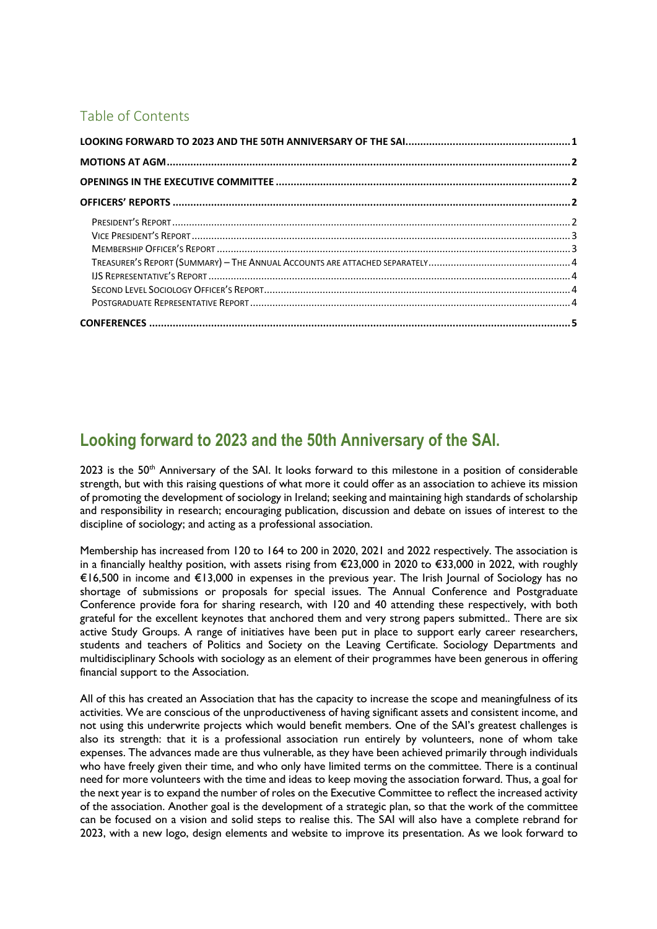## Table of Contents

# **Looking forward to 2023 and the 50th Anniversary of the SAI.**

2023 is the 50<sup>th</sup> Anniversary of the SAI. It looks forward to this milestone in a position of considerable strength, but with this raising questions of what more it could offer as an association to achieve its mission of promoting the development of sociology in Ireland; seeking and maintaining high standards of scholarship and responsibility in research; encouraging publication, discussion and debate on issues of interest to the discipline of sociology; and acting as a professional association.

Membership has increased from 120 to 164 to 200 in 2020, 2021 and 2022 respectively. The association is in a financially healthy position, with assets rising from €23,000 in 2020 to €33,000 in 2022, with roughly €16,500 in income and €13,000 in expenses in the previous year. The Irish Journal of Sociology has no shortage of submissions or proposals for special issues. The Annual Conference and Postgraduate Conference provide fora for sharing research, with 120 and 40 attending these respectively, with both grateful for the excellent keynotes that anchored them and very strong papers submitted.. There are six active Study Groups. A range of initiatives have been put in place to support early career researchers, students and teachers of Politics and Society on the Leaving Certificate. Sociology Departments and multidisciplinary Schools with sociology as an element of their programmes have been generous in offering financial support to the Association.

All of this has created an Association that has the capacity to increase the scope and meaningfulness of its activities. We are conscious of the unproductiveness of having significant assets and consistent income, and not using this underwrite projects which would benefit members. One of the SAI's greatest challenges is also its strength: that it is a professional association run entirely by volunteers, none of whom take expenses. The advances made are thus vulnerable, as they have been achieved primarily through individuals who have freely given their time, and who only have limited terms on the committee. There is a continual need for more volunteers with the time and ideas to keep moving the association forward. Thus, a goal for the next year is to expand the number of roles on the Executive Committee to reflect the increased activity of the association. Another goal is the development of a strategic plan, so that the work of the committee can be focused on a vision and solid steps to realise this. The SAI will also have a complete rebrand for 2023, with a new logo, design elements and website to improve its presentation. As we look forward to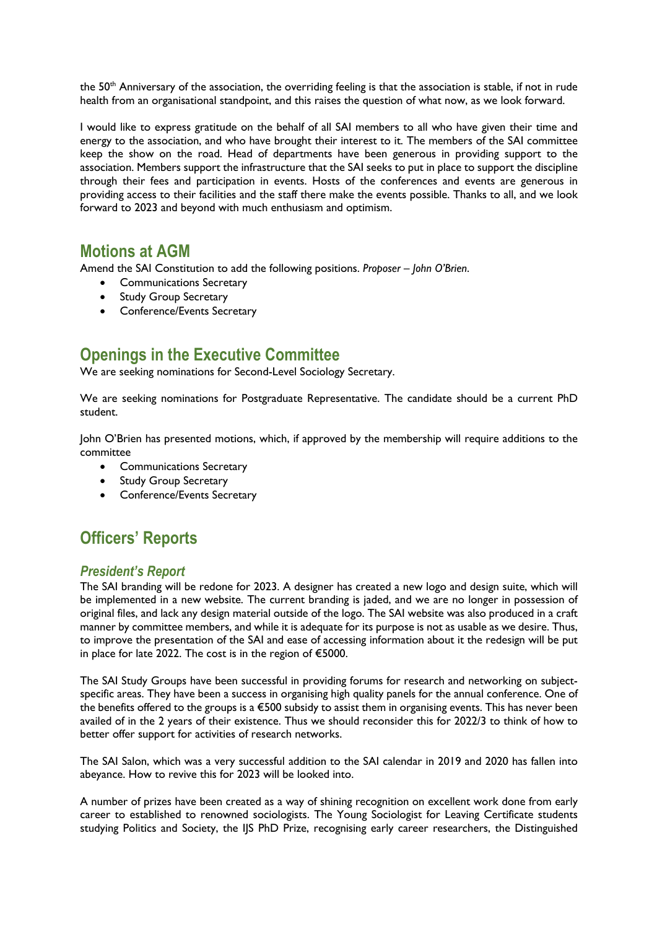the 50<sup>th</sup> Anniversary of the association, the overriding feeling is that the association is stable, if not in rude health from an organisational standpoint, and this raises the question of what now, as we look forward.

I would like to express gratitude on the behalf of all SAI members to all who have given their time and energy to the association, and who have brought their interest to it. The members of the SAI committee keep the show on the road. Head of departments have been generous in providing support to the association. Members support the infrastructure that the SAI seeks to put in place to support the discipline through their fees and participation in events. Hosts of the conferences and events are generous in providing access to their facilities and the staff there make the events possible. Thanks to all, and we look forward to 2023 and beyond with much enthusiasm and optimism.

## **Motions at AGM**

Amend the SAI Constitution to add the following positions. *Proposer – John O'Brien*.

- Communications Secretary
- Study Group Secretary
- Conference/Events Secretary

## **Openings in the Executive Committee**

We are seeking nominations for Second-Level Sociology Secretary.

We are seeking nominations for Postgraduate Representative. The candidate should be a current PhD student.

John O'Brien has presented motions, which, if approved by the membership will require additions to the committee

- Communications Secretary
- Study Group Secretary
- Conference/Events Secretary

# **Officers' Reports**

#### *President's Report*

The SAI branding will be redone for 2023. A designer has created a new logo and design suite, which will be implemented in a new website. The current branding is jaded, and we are no longer in possession of original files, and lack any design material outside of the logo. The SAI website was also produced in a craft manner by committee members, and while it is adequate for its purpose is not as usable as we desire. Thus, to improve the presentation of the SAI and ease of accessing information about it the redesign will be put in place for late 2022. The cost is in the region of €5000.

The SAI Study Groups have been successful in providing forums for research and networking on subjectspecific areas. They have been a success in organising high quality panels for the annual conference. One of the benefits offered to the groups is a €500 subsidy to assist them in organising events. This has never been availed of in the 2 years of their existence. Thus we should reconsider this for 2022/3 to think of how to better offer support for activities of research networks.

The SAI Salon, which was a very successful addition to the SAI calendar in 2019 and 2020 has fallen into abeyance. How to revive this for 2023 will be looked into.

A number of prizes have been created as a way of shining recognition on excellent work done from early career to established to renowned sociologists. The Young Sociologist for Leaving Certificate students studying Politics and Society, the IJS PhD Prize, recognising early career researchers, the Distinguished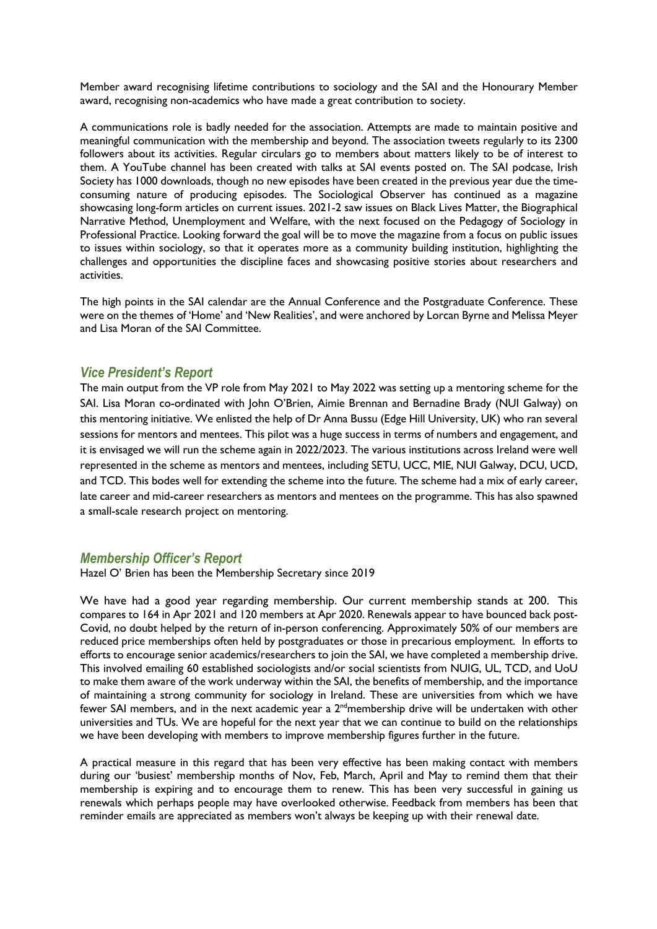Member award recognising lifetime contributions to sociology and the SAI and the Honourary Member award, recognising non-academics who have made a great contribution to society.

A communications role is badly needed for the association. Attempts are made to maintain positive and meaningful communication with the membership and beyond. The association tweets regularly to its 2300 followers about its activities. Regular circulars go to members about matters likely to be of interest to them. A YouTube channel has been created with talks at SAI events posted on. The SAI podcase, Irish Society has 1000 downloads, though no new episodes have been created in the previous year due the timeconsuming nature of producing episodes. The Sociological Observer has continued as a magazine showcasing long-form articles on current issues. 2021-2 saw issues on Black Lives Matter, the Biographical Narrative Method, Unemployment and Welfare, with the next focused on the Pedagogy of Sociology in Professional Practice. Looking forward the goal will be to move the magazine from a focus on public issues to issues within sociology, so that it operates more as a community building institution, highlighting the challenges and opportunities the discipline faces and showcasing positive stories about researchers and activities.

The high points in the SAI calendar are the Annual Conference and the Postgraduate Conference. These were on the themes of 'Home' and 'New Realities', and were anchored by Lorcan Byrne and Melissa Meyer and Lisa Moran of the SAI Committee.

#### *Vice President's Report*

The main output from the VP role from May 2021 to May 2022 was setting up a mentoring scheme for the SAI. Lisa Moran co-ordinated with John O'Brien, Aimie Brennan and Bernadine Brady (NUI Galway) on this mentoring initiative. We enlisted the help of Dr Anna Bussu (Edge Hill University, UK) who ran several sessions for mentors and mentees. This pilot was a huge success in terms of numbers and engagement, and it is envisaged we will run the scheme again in 2022/2023. The various institutions across Ireland were well represented in the scheme as mentors and mentees, including SETU, UCC, MIE, NUI Galway, DCU, UCD, and TCD. This bodes well for extending the scheme into the future. The scheme had a mix of early career, late career and mid-career researchers as mentors and mentees on the programme. This has also spawned a small-scale research project on mentoring.

#### *Membership Officer's Report*

Hazel O' Brien has been the Membership Secretary since 2019

We have had a good year regarding membership. Our current membership stands at 200. This compares to 164 in Apr 2021 and 120 members at Apr 2020. Renewals appear to have bounced back post-Covid, no doubt helped by the return of in-person conferencing. Approximately 50% of our members are reduced price memberships often held by postgraduates or those in precarious employment. In efforts to efforts to encourage senior academics/researchers to join the SAI, we have completed a membership drive. This involved emailing 60 established sociologists and/or social scientists from NUIG, UL, TCD, and UoU to make them aware of the work underway within the SAI, the benefits of membership, and the importance of maintaining a strong community for sociology in Ireland. These are universities from which we have fewer SAI members, and in the next academic year a 2ndmembership drive will be undertaken with other universities and TUs. We are hopeful for the next year that we can continue to build on the relationships we have been developing with members to improve membership figures further in the future.

A practical measure in this regard that has been very effective has been making contact with members during our 'busiest' membership months of Nov, Feb, March, April and May to remind them that their membership is expiring and to encourage them to renew. This has been very successful in gaining us renewals which perhaps people may have overlooked otherwise. Feedback from members has been that reminder emails are appreciated as members won't always be keeping up with their renewal date.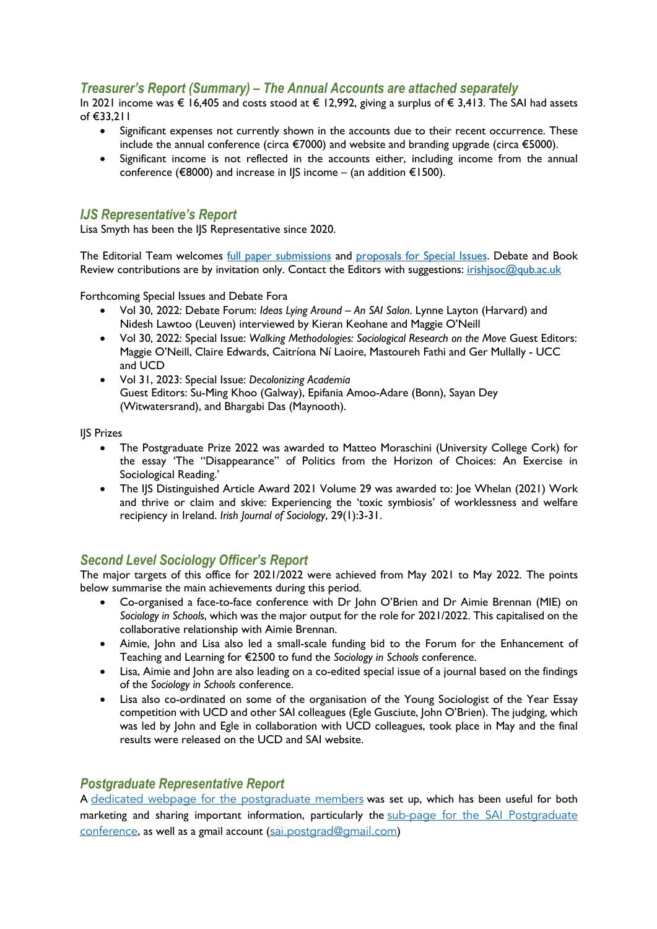### *Treasurer's Report (Summary) – The Annual Accounts are attached separately*

In 2021 income was € 16,405 and costs stood at € 12,992, giving a surplus of € 3,413. The SAI had assets of €33,211

- Significant expenses not currently shown in the accounts due to their recent occurrence. These include the annual conference (circa €7000) and website and branding upgrade (circa €5000).
- Significant income is not reflected in the accounts either, including income from the annual conference (€8000) and increase in IJS income – (an addition €1500).

#### *IJS Representative's Report*

Lisa Smyth has been the IJS Representative since 2020.

The Editorial Team welcomes full paper submissions and proposals for Special Issues. Debate and Book Review contributions are by invitation only. Contact the Editors with suggestions: irishjsoc@qub.ac.uk

Forthcoming Special Issues and Debate Fora

- Vol 30, 2022: Debate Forum: *Ideas Lying Around An SAI Salon*. Lynne Layton (Harvard) and Nidesh Lawtoo (Leuven) interviewed by Kieran Keohane and Maggie O'Neill
- Vol 30, 2022: Special Issue: *Walking Methodologies: Sociological Research on the Move* Guest Editors: Maggie O'Neill, Claire Edwards, Caitríona Ní Laoire, Mastoureh Fathi and Ger Mullally - UCC and UCD
- Vol 31, 2023: Special Issue: *Decolonizing Academia*  Guest Editors: Su-Ming Khoo (Galway), Epifania Amoo-Adare (Bonn), Sayan Dey (Witwatersrand), and Bhargabi Das (Maynooth).

IJS Prizes

- The Postgraduate Prize 2022 was awarded to Matteo Moraschini (University College Cork) for the essay 'The "Disappearance" of Politics from the Horizon of Choices: An Exercise in Sociological Reading.'
- The IJS Distinguished Article Award 2021 Volume 29 was awarded to: Joe Whelan (2021) Work and thrive or claim and skive: Experiencing the 'toxic symbiosis' of worklessness and welfare recipiency in Ireland. *Irish Journal of Sociology*, 29(1):3-31.

### *Second Level Sociology Officer's Report*

The major targets of this office for 2021/2022 were achieved from May 2021 to May 2022. The points below summarise the main achievements during this period.

- Co-organised a face-to-face conference with Dr John O'Brien and Dr Aimie Brennan (MIE) on *Sociology in Schools*, which was the major output for the role for 2021/2022. This capitalised on the collaborative relationship with Aimie Brennan.
- Aimie, John and Lisa also led a small-scale funding bid to the Forum for the Enhancement of Teaching and Learning for €2500 to fund the *Sociology in Schools* conference.
- Lisa, Aimie and John are also leading on a co-edited special issue of a journal based on the findings of the *Sociology in Schools* conference.
- Lisa also co-ordinated on some of the organisation of the Young Sociologist of the Year Essay competition with UCD and other SAI colleagues (Egle Gusciute, John O'Brien). The judging, which was led by John and Egle in collaboration with UCD colleagues, took place in May and the final results were released on the UCD and SAI website.

### *Postgraduate Representative Report*

A dedicated webpage for the postgraduate members was set up, which has been useful for both marketing and sharing important information, particularly the sub-page for the SAI Postgraduate conference, as well as a gmail account (sai.postgrad@gmail.com)